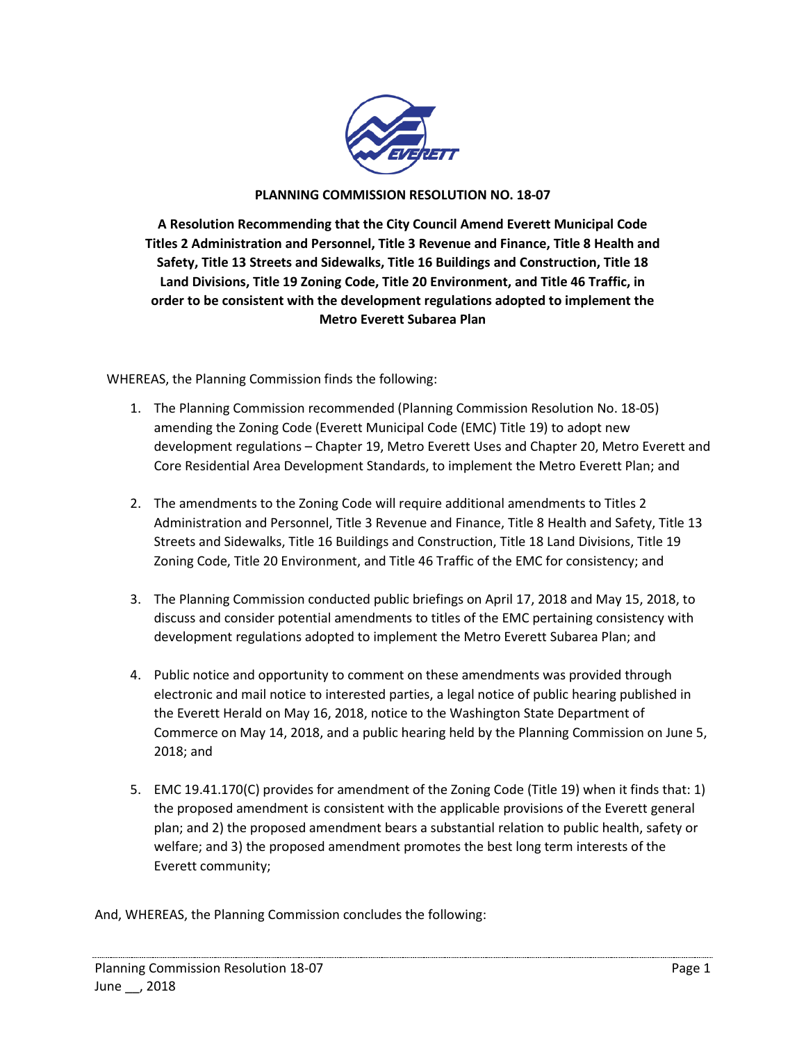

## **PLANNING COMMISSION RESOLUTION NO. 18-07**

**A Resolution Recommending that the City Council Amend Everett Municipal Code Titles 2 Administration and Personnel, Title 3 Revenue and Finance, Title 8 Health and Safety, Title 13 Streets and Sidewalks, Title 16 Buildings and Construction, Title 18 Land Divisions, Title 19 Zoning Code, Title 20 Environment, and Title 46 Traffic, in order to be consistent with the development regulations adopted to implement the Metro Everett Subarea Plan**

WHEREAS, the Planning Commission finds the following:

- 1. The Planning Commission recommended (Planning Commission Resolution No. 18-05) amending the Zoning Code (Everett Municipal Code (EMC) Title 19) to adopt new development regulations – Chapter 19, Metro Everett Uses and Chapter 20, Metro Everett and Core Residential Area Development Standards, to implement the Metro Everett Plan; and
- 2. The amendments to the Zoning Code will require additional amendments to Titles 2 Administration and Personnel, Title 3 Revenue and Finance, Title 8 Health and Safety, Title 13 Streets and Sidewalks, Title 16 Buildings and Construction, Title 18 Land Divisions, Title 19 Zoning Code, Title 20 Environment, and Title 46 Traffic of the EMC for consistency; and
- 3. The Planning Commission conducted public briefings on April 17, 2018 and May 15, 2018, to discuss and consider potential amendments to titles of the EMC pertaining consistency with development regulations adopted to implement the Metro Everett Subarea Plan; and
- 4. Public notice and opportunity to comment on these amendments was provided through electronic and mail notice to interested parties, a legal notice of public hearing published in the Everett Herald on May 16, 2018, notice to the Washington State Department of Commerce on May 14, 2018, and a public hearing held by the Planning Commission on June 5, 2018; and
- 5. EMC 19.41.170(C) provides for amendment of the Zoning Code (Title 19) when it finds that: 1) the proposed amendment is consistent with the applicable provisions of the Everett general plan; and 2) the proposed amendment bears a substantial relation to public health, safety or welfare; and 3) the proposed amendment promotes the best long term interests of the Everett community;

And, WHEREAS, the Planning Commission concludes the following: